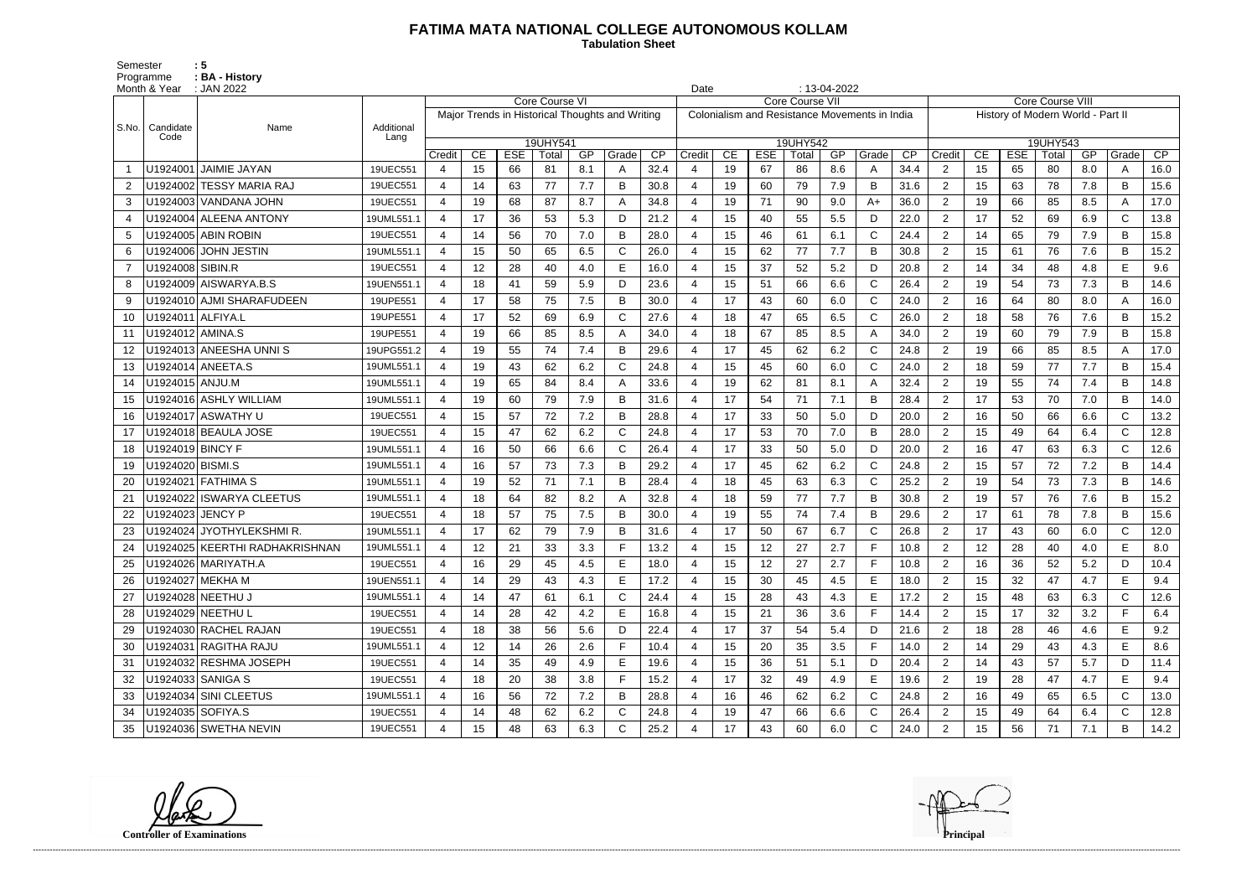## **FATIMA MATA NATIONAL COLLEGE AUTONOMOUS KOLLAM**

Semester : 5 Programme **: BA - History**  **Tabulation Sheet** 

|       | Month & Year      | $: 13-04-2022$<br>: JAN 2022<br>Date |            |                       |    |            |                |     |                                                 |      |        |    |            |                                               |     |                |      |                                   |                         |            |          |     |              |      |  |
|-------|-------------------|--------------------------------------|------------|-----------------------|----|------------|----------------|-----|-------------------------------------------------|------|--------|----|------------|-----------------------------------------------|-----|----------------|------|-----------------------------------|-------------------------|------------|----------|-----|--------------|------|--|
|       |                   |                                      |            |                       |    |            | Core Course VI |     |                                                 |      |        |    |            | Core Course VII                               |     |                |      |                                   | <b>Core Course VIII</b> |            |          |     |              |      |  |
| S.No. | Candidate         | Name                                 | Additional |                       |    |            |                |     | Major Trends in Historical Thoughts and Writing |      |        |    |            | Colonialism and Resistance Movements in India |     |                |      | History of Modern World - Part II |                         |            |          |     |              |      |  |
|       | Code              |                                      | Lang       |                       |    |            | 19UHY541       |     |                                                 |      |        |    |            | 19UHY542                                      |     |                |      |                                   |                         |            | 19UHY543 |     |              |      |  |
|       |                   |                                      |            | Credit                | CE | <b>ESE</b> | Total          | GP  | Grade                                           | CP   | Credit | CE | <b>ESE</b> | Total                                         | GP  | Grade          | CP   | Credit                            | CE                      | <b>ESE</b> | Total    | GP  | Grade        | CP   |  |
|       |                   | U1924001 JAIMIE JAYAN                | 19UEC551   | 4                     | 15 | 66         | 81             | 8.1 | А                                               | 32.4 |        | 19 | 67         | 86                                            | 8.6 | A              | 34.4 | 2                                 | 15                      | 65         | 80       | 8.0 | A            | 16.0 |  |
| 2     |                   | U1924002 TESSY MARIA RAJ             | 19UEC551   | $\overline{4}$        | 14 | 63         | 77             | 7.7 | B                                               | 30.8 |        | 19 | 60         | 79                                            | 7.9 | B              | 31.6 | $\overline{2}$                    | 15                      | 63         | 78       | 7.8 | B            | 15.6 |  |
| 3     |                   | U1924003 VANDANA JOHN                | 19UEC551   | 4                     | 19 | 68         | 87             | 8.7 | А                                               | 34.8 |        | 19 | 71         | 90                                            | 9.0 | $A+$           | 36.0 | 2                                 | 19                      | 66         | 85       | 8.5 | A            | 17.0 |  |
|       |                   | U1924004 ALEENA ANTONY               | 19UML551.1 | $\overline{4}$        | 17 | 36         | 53             | 5.3 | D                                               | 21.2 |        | 15 | 40         | 55                                            | 5.5 | D              | 22.0 | $\overline{2}$                    | 17                      | 52         | 69       | 6.9 | $\mathsf{C}$ | 13.8 |  |
| 5     |                   | U1924005 ABIN ROBIN                  | 19UEC551   | $\overline{4}$        | 14 | 56         | 70             | 7.0 | B                                               | 28.0 |        | 15 | 46         | 61                                            | 6.1 | $\mathsf{C}$   | 24.4 | 2                                 | 14                      | 65         | 79       | 7.9 | B            | 15.8 |  |
| 6     |                   | U1924006 JOHN JESTIN                 | 19UML551.1 | 4                     | 15 | 50         | 65             | 6.5 | C                                               | 26.0 |        | 15 | 62         | 77                                            | 7.7 | B              | 30.8 | 2                                 | 15                      | 61         | 76       | 7.6 | B            | 15.2 |  |
|       | U1924008 SIBIN.R  |                                      | 19UEC551   | $\overline{4}$        | 12 | 28         | 40             | 4.0 |                                                 | 16.0 |        | 15 | 37         | 52                                            | 5.2 | D              | 20.8 | $\overline{2}$                    | 14                      | 34         | 48       | 4.8 | E            | 9.6  |  |
|       |                   | U1924009 AISWARYA.B.S                | 19UEN551.1 | $\overline{4}$        | 18 | 41         | 59             | 5.9 | D                                               | 23.6 |        | 15 | 51         | 66                                            | 6.6 | $\mathsf{C}$   | 26.4 | 2                                 | 19                      | 54         | 73       | 7.3 | B            | 14.6 |  |
| -9    |                   | U1924010 AJMI SHARAFUDEEN            | 19UPE551   | $\overline{4}$        | 17 | 58         | 75             | 7.5 | B                                               | 30.0 |        | 17 | 43         | 60                                            | 6.0 | $\mathsf{C}$   | 24.0 | $\overline{2}$                    | 16                      | 64         | 80       | 8.0 | A            | 16.0 |  |
| 10    | U1924011 ALFIYA.L |                                      | 19UPE551   | $\overline{4}$        | 17 | 52         | 69             | 6.9 | $\mathsf{C}$                                    | 27.6 |        | 18 | 47         | 65                                            | 6.5 | $\mathsf{C}$   | 26.0 | 2                                 | 18                      | 58         | 76       | 7.6 | B            | 15.2 |  |
| 11    | U1924012 AMINA.S  |                                      | 19UPE551   | 4                     | 19 | 66         | 85             | 8.5 |                                                 | 34.0 |        | 18 | 67         | 85                                            | 8.5 | $\overline{A}$ | 34.0 | 2                                 | 19                      | 60         | 79       | 7.9 | B            | 15.8 |  |
| 12    |                   | U1924013 ANEESHA UNNIS               | 19UPG551.2 | $\boldsymbol{\Delta}$ | 19 | 55         | 74             | 7.4 |                                                 | 29.6 |        | 17 | 45         | 62                                            | 6.2 | $\mathsf{C}$   | 24.8 | $\overline{2}$                    | 19                      | 66         | 85       | 8.5 | A            | 17.0 |  |
| 13    |                   | U1924014 ANEETA.S                    | 19UML551.1 | $\overline{4}$        | 19 | 43         | 62             | 6.2 | $\mathsf{C}$                                    | 24.8 |        | 15 | 45         | 60                                            | 6.0 | $\mathsf{C}$   | 24.0 | 2                                 | 18                      | 59         | 77       | 7.7 | B            | 15.4 |  |
| 14    | U1924015 ANJU.M   |                                      | 19UML551.1 | $\overline{4}$        | 19 | 65         | 84             | 8.4 |                                                 | 33.6 |        | 19 | 62         | 81                                            | 8.1 | A              | 32.4 | $\overline{2}$                    | 19                      | 55         | 74       | 7.4 | B            | 14.8 |  |
| 15    |                   | U1924016 ASHLY WILLIAM               | 19UML551.1 | $\overline{4}$        | 19 | 60         | 79             | 7.9 | B                                               | 31.6 |        | 17 | 54         | 71                                            | 7.1 | B              | 28.4 | 2                                 | 17                      | 53         | 70       | 7.0 | B            | 14.0 |  |
| 16    |                   | U1924017 ASWATHY U                   | 19UEC551   | 4                     | 15 | 57         | 72             | 7.2 | B                                               | 28.8 |        | 17 | 33         | 50                                            | 5.0 | D              | 20.0 | $\overline{2}$                    | 16                      | 50         | 66       | 6.6 | $\mathsf{C}$ | 13.2 |  |
| 17    |                   | U1924018 BEAULA JOSE                 | 19UEC551   | 4                     | 15 | 47         | 62             | 6.2 | C                                               | 24.8 |        | 17 | 53         | 70                                            | 7.0 | B              | 28.0 | $\overline{2}$                    | 15                      | 49         | 64       | 6.4 | $\mathsf{C}$ | 12.8 |  |
| 18    | U1924019 BINCY F  |                                      | 19UML551.1 | $\boldsymbol{\Delta}$ | 16 | 50         | 66             | 6.6 | $\mathsf{C}$                                    | 26.4 |        | 17 | 33         | 50                                            | 5.0 | D              | 20.0 | 2                                 | 16                      | 47         | 63       | 6.3 | $\mathsf{C}$ | 12.6 |  |
| 19    | U1924020 BISMI.S  |                                      | 19UML551.1 | $\overline{4}$        | 16 | 57         | 73             | 7.3 | B                                               | 29.2 |        | 17 | 45         | 62                                            | 6.2 | $\mathsf{C}$   | 24.8 | 2                                 | 15                      | 57         | 72       | 7.2 | B            | 14.4 |  |
| 20    |                   | U1924021 FATHIMA S                   | 19UML551.1 | 4                     | 19 | 52         | 71             | 7.1 | B                                               | 28.4 |        | 18 | 45         | 63                                            | 6.3 | $\mathsf{C}$   | 25.2 | 2                                 | 19                      | 54         | 73       | 7.3 | B            | 14.6 |  |
|       |                   | U1924022 ISWARYA CLEETUS             | 19UML551.1 | 4                     | 18 | 64         | 82             | 8.2 |                                                 | 32.8 |        | 18 | 59         | 77                                            | 7.7 | B              | 30.8 | $\overline{2}$                    | 19                      | 57         | 76       | 7.6 | B            | 15.2 |  |
|       | U1924023 JENCY P  |                                      | 19UEC551   | $\overline{4}$        | 18 | 57         | 75             | 7.5 | B                                               | 30.0 |        | 19 | 55         | 74                                            | 7.4 | B              | 29.6 | 2                                 | 17                      | 61         | 78       | 7.8 | B            | 15.6 |  |
|       |                   | U1924024 JYOTHYLEKSHMIR              | 19UML551.1 | 4                     | 17 | 62         | 79             | 7.9 | B                                               | 31.6 |        | 17 | 50         | 67                                            | 6.7 | C              | 26.8 | $\overline{2}$                    | 17                      | 43         | 60       | 6.0 | $\mathsf C$  | 12.0 |  |
| 24    |                   | U1924025 KEERTHI RADHAKRISHNAN       | 19UML551.1 |                       | 12 | 21         | 33             | 3.3 |                                                 | 13.2 |        | 15 | 12         | 27                                            | 2.7 | E              | 10.8 | 2                                 | 12                      | 28         | 40       | 4.0 | E            | 8.0  |  |
|       |                   | U1924026 MARIYATH.A                  | 19UEC551   | 4                     | 16 | 29         | 45             | 4.5 | E                                               | 18.0 | 4      | 15 | 12         | 27                                            | 2.7 | F              | 10.8 | $\overline{2}$                    | 16                      | 36         | 52       | 5.2 | D            | 10.4 |  |
|       | U1924027 MEKHA M  |                                      | 19UEN551.1 | 4                     | 14 | 29         | 43             | 4.3 | E                                               | 17.2 |        | 15 | 30         | 45                                            | 4.5 | E              | 18.0 | $\overline{2}$                    | 15                      | 32         | 47       | 4.7 | E            | 9.4  |  |
| 27    |                   | U1924028 NEETHU J                    | 19UML551.1 | $\overline{4}$        | 14 | 47         | 61             | 6.1 | C                                               | 24.4 | 4      | 15 | 28         | 43                                            | 4.3 | E              | 17.2 | $\overline{2}$                    | 15                      | 48         | 63       | 6.3 | $\mathsf{C}$ | 12.6 |  |
|       |                   | U1924029 NEETHU L                    | 19UEC551   | 4                     | 14 | 28         | 42             | 4.2 | E                                               | 16.8 | 4      | 15 | 21         | 36                                            | 3.6 | F.             | 14.4 | $\overline{2}$                    | 15                      | 17         | 32       | 3.2 | F.           | 6.4  |  |
| 29    |                   | U1924030 RACHEL RAJAN                | 19UEC551   | 4                     | 18 | 38         | 56             | 5.6 | D                                               | 22.4 |        | 17 | 37         | 54                                            | 5.4 | D              | 21.6 | $\overline{2}$                    | 18                      | 28         | 46       | 4.6 | E            | 9.2  |  |
| 30    |                   | U1924031 RAGITHA RAJU                | 19UML551.1 | 4                     | 12 | 14         | 26             | 2.6 | F.                                              | 10.4 | 4      | 15 | 20         | 35                                            | 3.5 | F.             | 14.0 | $\overline{2}$                    | 14                      | 29         | 43       | 4.3 | E.           | 8.6  |  |
|       |                   | U1924032 RESHMA JOSEPH               | 19UEC551   | 4                     | 14 | 35         | 49             | 4.9 | E                                               | 19.6 |        | 15 | 36         | 51                                            | 5.1 | D              | 20.4 | $\overline{2}$                    | 14                      | 43         | 57       | 5.7 | D            | 11.4 |  |
| 32    |                   | U1924033 SANIGA S                    | 19UEC551   | 4                     | 18 | 20         | 38             | 3.8 |                                                 | 15.2 |        | 17 | 32         | 49                                            | 4.9 | E              | 19.6 | $\overline{2}$                    | 19                      | 28         | 47       | 4.7 | E            | 9.4  |  |
| 33    |                   | U1924034 SINI CLEETUS                | 19UML551.1 | $\overline{4}$        | 16 | 56         | 72             | 7.2 | B                                               | 28.8 |        | 16 | 46         | 62                                            | 6.2 | C              | 24.8 | $\overline{2}$                    | 16                      | 49         | 65       | 6.5 | C            | 13.0 |  |
| 34    | U1924035 SOFIYA.S |                                      | 19UEC551   | 4                     | 14 | 48         | 62             | 6.2 | $\mathsf{C}$                                    | 24.8 |        | 19 | 47         | 66                                            | 6.6 | C              | 26.4 | $\overline{2}$                    | 15 <sub>15</sub>        | 49         | 64       | 6.4 | $\mathsf{C}$ | 12.8 |  |
| 35    |                   | U1924036 SWETHA NEVIN                | 19UEC551   | 4                     | 15 | 48         | 63             | 6.3 | C                                               | 25.2 |        | 17 | 43         | 60                                            | 6.0 | C              | 24.0 | $\overline{2}$                    | 15                      | 56         | 71       | 7.1 | B            | 14.2 |  |

**Controller of Examinations Principal**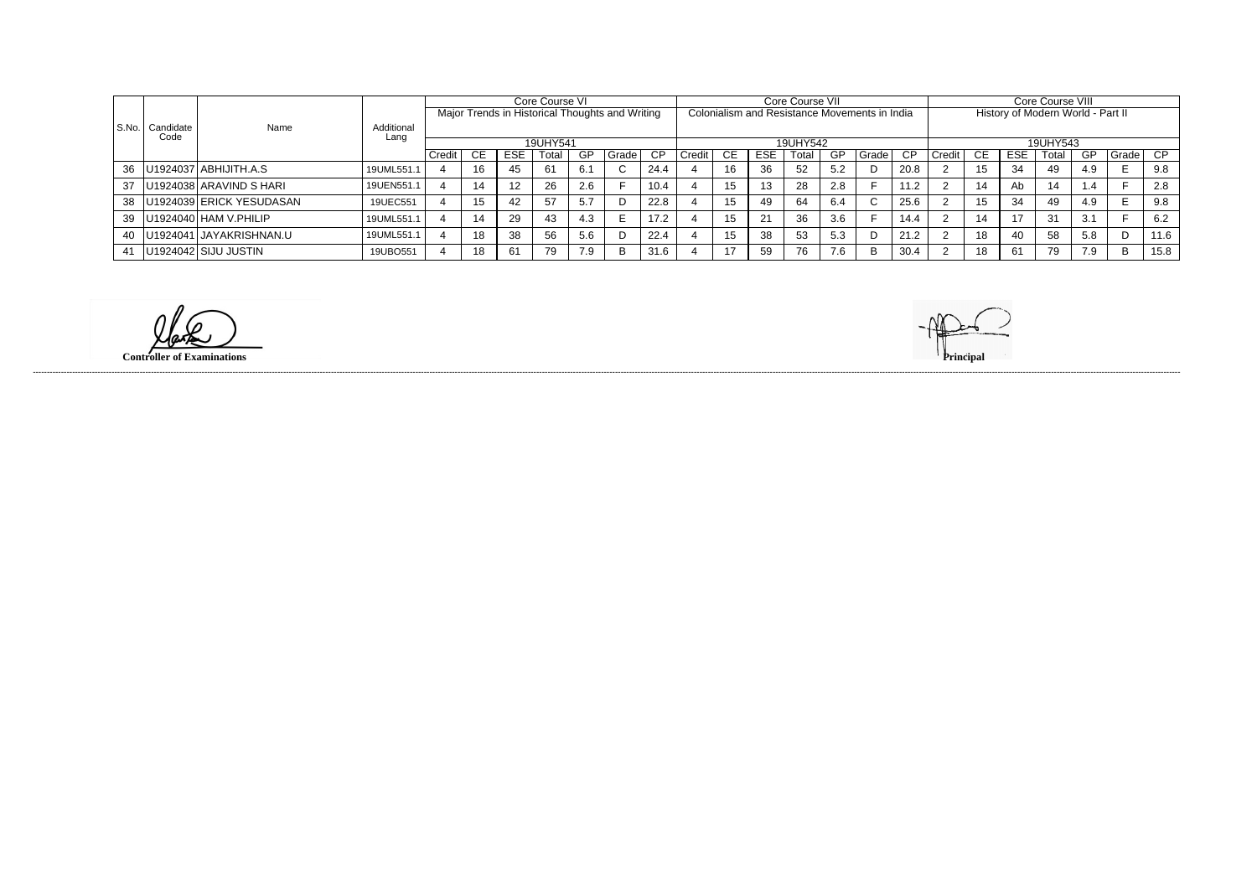|         |           | Name                           |                    |        |           |            | Core Course VI                                  |     |        |      | Core Course VII |     |                |          |                                               |       |                                   | Core Course VIII |          |            |       |     |       |      |  |
|---------|-----------|--------------------------------|--------------------|--------|-----------|------------|-------------------------------------------------|-----|--------|------|-----------------|-----|----------------|----------|-----------------------------------------------|-------|-----------------------------------|------------------|----------|------------|-------|-----|-------|------|--|
|         |           |                                |                    |        |           |            | Major Trends in Historical Thoughts and Writing |     |        |      |                 |     |                |          | Colonialism and Resistance Movements in India |       | History of Modern World - Part II |                  |          |            |       |     |       |      |  |
| l S.No. | Candidate |                                | Additional<br>Lanc |        |           |            |                                                 |     |        |      |                 |     |                |          |                                               |       |                                   |                  |          |            |       |     |       |      |  |
|         | Code      |                                |                    |        |           |            | 19UHY541                                        |     |        |      |                 |     |                | 19UHY542 |                                               |       |                                   |                  | 19UHY543 |            |       |     |       |      |  |
|         |           |                                |                    | Credit | <b>CE</b> | <b>ESE</b> | Total                                           | GP  | Gradel | CP   | Credit          | CE. | <b>ESE</b>     | Total    | GP                                            | Grade | CP.                               | Credit I         | CE.      | <b>ESE</b> | Total | GP  | Grade | CP.  |  |
|         |           | 36   U1924037   ABHIJITH.A.S   | 19UML551.          |        |           | 45         |                                                 | 6.1 |        | 24.4 |                 | 16  | 36             | 52       | 5.2                                           |       | 20.8                              |                  | 15       | 34         | 49    | 4.9 |       | 9.8  |  |
|         |           | 37   U1924038   ARAVIND S HARI | 19UEN551.          |        |           | 12         | 26                                              | 2.6 |        | 10.4 |                 | 15  |                | 28       | 2.8                                           |       | 11.2                              |                  | 14       | Ab         | 14    | .4  |       | 2.8  |  |
|         |           | 38   U1924039 ERICK YESUDASAN  | 19UEC551           |        |           | 42         | -57                                             | 5.7 |        | 22.8 |                 | 15  | 49             | 64       | 6.4                                           |       | 25.6                              |                  | 15       | 34         | 49    | 4.9 | E     | 9.8  |  |
|         |           | 39   U1924040   HAM V. PHILIP  | 19UML551.1         |        |           | 29         | 43                                              | 4.3 |        | 17.2 |                 | 15  | 2 <sup>1</sup> | 36       | 3.6                                           |       | 14.4                              |                  | 14       | 47         | -31   | 3.1 |       | 6.2  |  |
|         |           | 40   U1924041   JAYAKRISHNAN.U | 19UML551.          |        |           | 38         | -56                                             | 5.6 |        | 22.4 |                 |     | 38             | 53       | 5.3                                           | D     | 21.2                              |                  | 18       | 40         | 58    | 5.8 |       | 11.6 |  |
|         |           | 41   U1924042 SIJU JUSTIN      | 19UBO551           |        | 18        | 61         | 79                                              | 7.9 | B      | 31.6 |                 |     | 59             | 76       | 7.6                                           | B     | 30.4                              |                  | 18       | -61        | 79    | 7.9 | B     | 15.8 |  |

**Controller of Examinations Principal**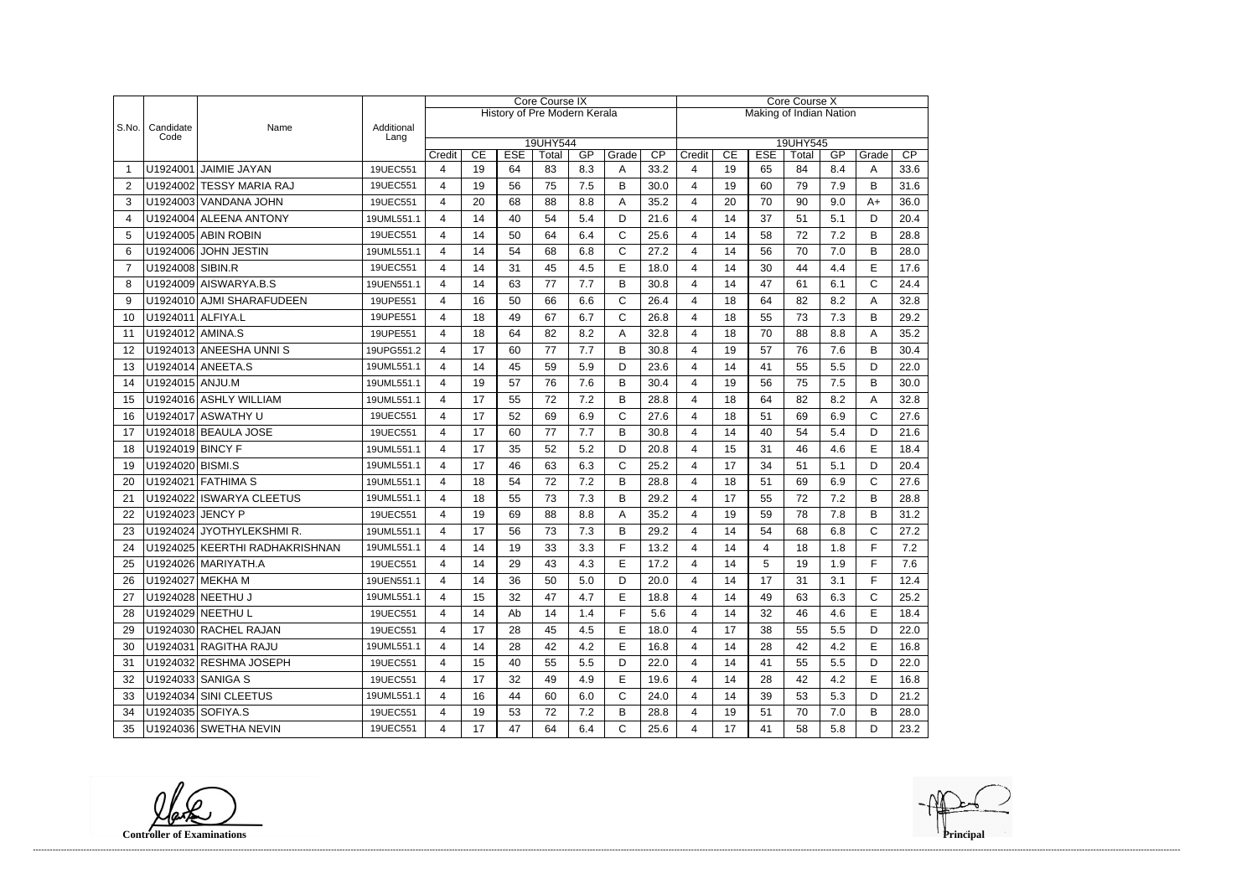|       |                   |                                |                    | <b>Core Course IX</b> |          |            |                                     |     |              |                         | Core Course X           |          |            |             |            |                   |              |  |
|-------|-------------------|--------------------------------|--------------------|-----------------------|----------|------------|-------------------------------------|-----|--------------|-------------------------|-------------------------|----------|------------|-------------|------------|-------------------|--------------|--|
|       |                   |                                |                    |                       |          |            | <b>History of Pre Modern Kerala</b> |     |              | Making of Indian Nation |                         |          |            |             |            |                   |              |  |
| S.No. | Candidate<br>Code | Name                           | Additional<br>Lang |                       |          |            |                                     |     |              |                         |                         |          |            |             |            |                   |              |  |
|       |                   |                                |                    |                       | CE       | <b>ESE</b> | 19UHY544                            | GP  | Grade        | CP                      |                         | CE       | <b>ESE</b> | 19UHY545    | GP         | Grade             | CP           |  |
|       |                   | U1924001 JAIMIE JAYAN          | 19UEC551           | Credit<br>4           | 19       | 64         | Total<br>83                         | 8.3 | A            | 33.2                    | Credit<br>4             | 19       | 65         | Total<br>84 | 8.4        | A                 | 33.6         |  |
| 2     |                   | U1924002 TESSY MARIA RAJ       | 19UEC551           | 4                     | 19       | 56         | 75                                  | 7.5 | B            | 30.0                    | 4                       | 19       | 60         | 79          | 7.9        | B                 | 31.6         |  |
| 3     |                   | U1924003 VANDANA JOHN          | 19UEC551           | 4                     | 20       | 68         | 88                                  | 8.8 | A            | 35.2                    | 4                       | 20       | 70         | 90          | 9.0        | $A+$              | 36.0         |  |
| 4     |                   | U1924004 ALEENA ANTONY         | 19UML551.1         | 4                     | 14       | 40         | 54                                  | 5.4 | D            | 21.6                    | 4                       | 14       | 37         | 51          | 5.1        | D                 | 20.4         |  |
| 5     |                   | U1924005 ABIN ROBIN            | 19UEC551           | 4                     | 14       | 50         | 64                                  | 6.4 | $\mathsf{C}$ | 25.6                    | 4                       | 14       | 58         | 72          | 7.2        | B                 | 28.8         |  |
| 6     |                   | U1924006 JOHN JESTIN           | 19UML551.1         | 4                     | 14       | 54         | 68                                  | 6.8 | $\mathsf{C}$ | 27.2                    | 4                       | 14       | 56         | 70          | 7.0        | B                 | 28.0         |  |
| 7     | U1924008 SIBIN.R  |                                | 19UEC551           | 4                     | 14       | 31         | 45                                  | 4.5 | E            | 18.0                    | 4                       | 14       | 30         | 44          | 4.4        | E                 | 17.6         |  |
| 8     |                   | U1924009 AISWARYA.B.S          | 19UEN551.1         | 4                     | 14       | 63         | 77                                  | 7.7 | B            | 30.8                    | 4                       | 14       | 47         | 61          | 6.1        | $\mathsf{C}$      | 24.4         |  |
| 9     |                   | U1924010 AJMI SHARAFUDEEN      | 19UPE551           | 4                     | 16       | 50         | 66                                  | 6.6 | $\mathsf{C}$ | 26.4                    | 4                       | 18       | 64         | 82          | 8.2        | A                 | 32.8         |  |
| 10    | U1924011 ALFIYA.L |                                | 19UPE551           | 4                     | 18       | 49         | 67                                  | 6.7 | $\mathsf{C}$ | 26.8                    | 4                       | 18       | 55         | 73          | 7.3        | B                 | 29.2         |  |
| 11    | U1924012 AMINA.S  |                                | 19UPE551           | 4                     | 18       | 64         | 82                                  | 8.2 | A            | 32.8                    | 4                       | 18       | 70         | 88          | 8.8        | Α                 | 35.2         |  |
| 12    |                   | U1924013 ANEESHA UNNIS         | 19UPG551.2         | 4                     | 17       | 60         | 77                                  | 7.7 | B            | 30.8                    | 4                       | 19       | 57         | 76          | 7.6        | B                 | 30.4         |  |
| 13    |                   | U1924014 ANEETA.S              | 19UML551.1         | 4                     | 14       | 45         | 59                                  | 5.9 | D            | 23.6                    | 4                       | 14       | 41         | 55          | 5.5        | D                 | 22.0         |  |
|       | U1924015 ANJU.M   |                                |                    | 4                     | 19       | 57         | 76                                  | 7.6 | B            | 30.4                    | 4                       | 19       | 56         | 75          | 7.5        | B                 | 30.0         |  |
| 14    |                   | U1924016 ASHLY WILLIAM         | 19UML551.1         |                       | 17       | 55         |                                     | 7.2 | B            | 28.8                    | 4                       | 18       | 64         | 82          |            |                   |              |  |
| 15    |                   | U1924017 ASWATHY U             | 19UML551.1         | 4                     | 17       | 52         | 72                                  |     | $\mathsf{C}$ |                         |                         |          |            | 69          | 8.2<br>6.9 | A<br>$\mathsf{C}$ | 32.8         |  |
| 16    |                   |                                | 19UEC551           | 4                     |          |            | 69                                  | 6.9 |              | 27.6                    | 4                       | 18       | 51         |             |            |                   | 27.6         |  |
| 17    | U1924019 BINCY F  | U1924018 BEAULA JOSE           | 19UEC551           | 4<br>4                | 17<br>17 | 60<br>35   | 77<br>52                            | 7.7 | B<br>D       | 30.8                    | 4<br>4                  | 14<br>15 | 40<br>31   | 54<br>46    | 5.4<br>4.6 | D<br>E            | 21.6<br>18.4 |  |
| 18    |                   |                                | 19UML551.1         |                       |          |            |                                     | 5.2 | $\mathsf{C}$ | 20.8                    |                         |          |            |             |            |                   |              |  |
| 19    | U1924020 BISMI.S  |                                | 19UML551.1         | 4                     | 17       | 46         | 63                                  | 6.3 |              | 25.2                    | 4                       | 17       | 34         | 51          | 5.1        | D                 | 20.4         |  |
| 20    |                   | U1924021 FATHIMA S             | 19UML551.1         | 4                     | 18       | 54         | 72                                  | 7.2 | B            | 28.8                    | 4                       | 18       | 51         | 69          | 6.9        | $\mathsf{C}$      | 27.6         |  |
| 21    |                   | U1924022 ISWARYA CLEETUS       | 19UML551.1         | 4                     | 18       | 55         | 73                                  | 7.3 | B            | 29.2                    | 4                       | 17       | 55         | 72          | 7.2        | B                 | 28.8         |  |
| 22    | U1924023 JENCY P  |                                | 19UEC551           | 4                     | 19       | 69         | 88                                  | 8.8 | A            | 35.2                    | 4                       | 19       | 59         | 78          | 7.8        | B                 | 31.2         |  |
| 23    |                   | U1924024 JYOTHYLEKSHMIR.       | 19UML551.1         | 4                     | 17       | 56         | 73                                  | 7.3 | B            | 29.2                    | 4                       | 14       | 54         | 68          | 6.8        | C                 | 27.2         |  |
| 24    |                   | U1924025 KEERTHI RADHAKRISHNAN | 19UML551.1         | 4                     | 14       | 19         | 33                                  | 3.3 | F            | 13.2                    | 4                       | 14       | 4          | 18          | 1.8        | E                 | 7.2          |  |
| 25    |                   | U1924026   MARIYATH.A          | 19UEC551           | 4                     | 14       | 29         | 43                                  | 4.3 | E            | 17.2                    | 4                       | 14       | 5.         | 19          | 1.9        | F                 | 7.6          |  |
| 26    |                   | U1924027 MEKHA M               | 19UEN551.1         | 4                     | 14       | 36         | 50                                  | 5.0 | D            | 20.0                    | 4                       | 14       | 17         | 31          | 3.1        | F                 | 12.4         |  |
| 27    |                   | U1924028 NEETHU J              | 19UML551.1         | 4                     | 15       | 32         | 47                                  | 4.7 | Е            | 18.8                    | 4                       | 14       | 49         | 63          | 6.3        | C                 | 25.2         |  |
| 28    |                   | U1924029 NEETHU L              | 19UEC551           | 4                     | 14       | Ab         | 14                                  | 1.4 | F            | 5.6                     | 4                       | 14       | 32         | 46          | 4.6        | Е                 | 18.4         |  |
| 29    |                   | U1924030 RACHEL RAJAN          | 19UEC551           | 4                     | 17       | 28         | 45                                  | 4.5 | E            | 18.0                    | 4                       | 17       | 38         | 55          | 5.5        | D                 | 22.0         |  |
| 30    |                   | U1924031 RAGITHA RAJU          | 19UML551.1         | 4                     | 14       | 28         | 42                                  | 4.2 | Е            | 16.8                    | 4                       | 14       | 28         | 42          | 4.2        | Е                 | 16.8         |  |
| 31    |                   | U1924032 RESHMA JOSEPH         | 19UEC551           | 4                     | 15       | 40         | 55                                  | 5.5 | D            | 22.0                    | $\overline{\mathbf{4}}$ | 14       | 41         | 55          | 5.5        | D                 | 22.0         |  |
| 32    |                   | U1924033 SANIGA S              | 19UEC551           | 4                     | 17       | 32         | 49                                  | 4.9 | Е            | 19.6                    | 4                       | 14       | 28         | 42          | 4.2        | Е                 | 16.8         |  |
| 33    |                   | U1924034 SINI CLEETUS          | 19UML551.1         | 4                     | 16       | 44         | 60                                  | 6.0 | $\mathsf{C}$ | 24.0                    | 4                       | 14       | 39         | 53          | 5.3        | D                 | 21.2         |  |
| 34    |                   | U1924035 SOFIYA.S              | 19UEC551           | 4                     | 19       | 53         | 72                                  | 7.2 | В            | 28.8                    | 4                       | 19       | 51         | 70          | 7.0        | B                 | 28.0         |  |
| 35    |                   | U1924036 SWETHA NEVIN          | 19UEC551           | 4                     | 17       | 47         | 64                                  | 6.4 | C            | 25.6                    | 4                       | 17       | 41         | 58          | 5.8        | D                 | 23.2         |  |

**Controller of Examinations**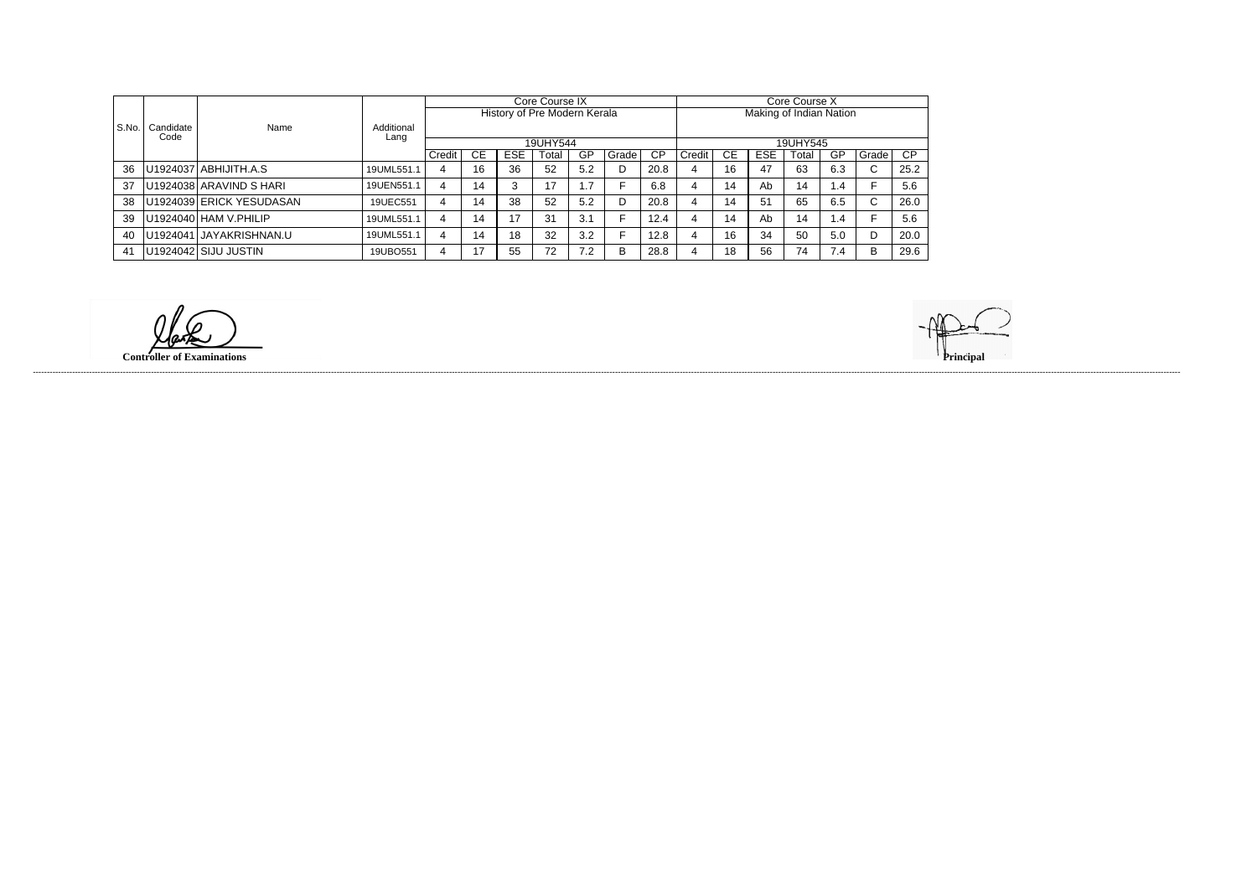|       |           | Name                     |                    |        |     |     | Core Course IX               |     |       |      | Core Course X           |    |            |       |      |                        |      |  |
|-------|-----------|--------------------------|--------------------|--------|-----|-----|------------------------------|-----|-------|------|-------------------------|----|------------|-------|------|------------------------|------|--|
|       |           |                          | Additional<br>Lang |        |     |     | History of Pre Modern Kerala |     |       |      | Making of Indian Nation |    |            |       |      |                        |      |  |
| S.No. | Candidate |                          |                    |        |     |     |                              |     |       |      |                         |    |            |       |      |                        |      |  |
|       | Code      |                          |                    |        |     |     | 19UHY544                     |     |       |      | 19UHY545                |    |            |       |      |                        |      |  |
|       |           |                          |                    | Credit | CE. | ESE | Total                        | GP  | Grade | СP   | Credit                  | CЕ | <b>ESE</b> | Total | GP   | Grade                  | CP.  |  |
| 36    |           | U1924037 ABHIJITH.A.S    | 19UML551.1         | 4      | 16  | 36  | 52                           | 5.2 |       | 20.8 |                         | 16 | 47         | 63    | 6.3  | ⌒<br>$\bullet$         | 25.2 |  |
| 37    |           | U1924038 ARAVIND S HARI  | 19UEN551.1         | 4      | 14  |     | 17                           | 1.7 |       | 6.8  |                         | 14 | Ab         | 14    | . .4 |                        | 5.6  |  |
| 38    |           | U1924039 ERICK YESUDASAN | 19UEC551           | 4      | 14  | 38  | 52                           | 5.2 |       | 20.8 |                         | 14 | 51         | 65    | 6.5  | $\sim$<br>$\mathbf{v}$ | 26.0 |  |
| 39    |           | U1924040 HAM V.PHILIP    | 19UML551.1         | 4      | 14  | דו  | 31                           | 3.1 |       | 12.4 |                         | 14 | Ab         | 14    | l.4  |                        | 5.6  |  |
| 40    |           | U1924041 JAYAKRISHNAN.U  | 19UML551.1         | 4      | 14  | 18  | 32                           | 3.2 |       | 12.8 |                         | 16 | 34         | 50    | 5.0  | n                      | 20.0 |  |
| 41    |           | U1924042 SIJU JUSTIN     | 19UBO551           | 4      | 17  | 55  | 72                           | 7.2 | B     | 28.8 |                         | 18 | 56         | 74    | 7.4  | B                      | 29.6 |  |

**Controller of Examinations Principal**

------------------------------------------------------------------------------------------------------------------------------------------------------------------------------------------------------------------------------------------------------------------------------------------------------------------------------------------------------------------------------------------------------------------------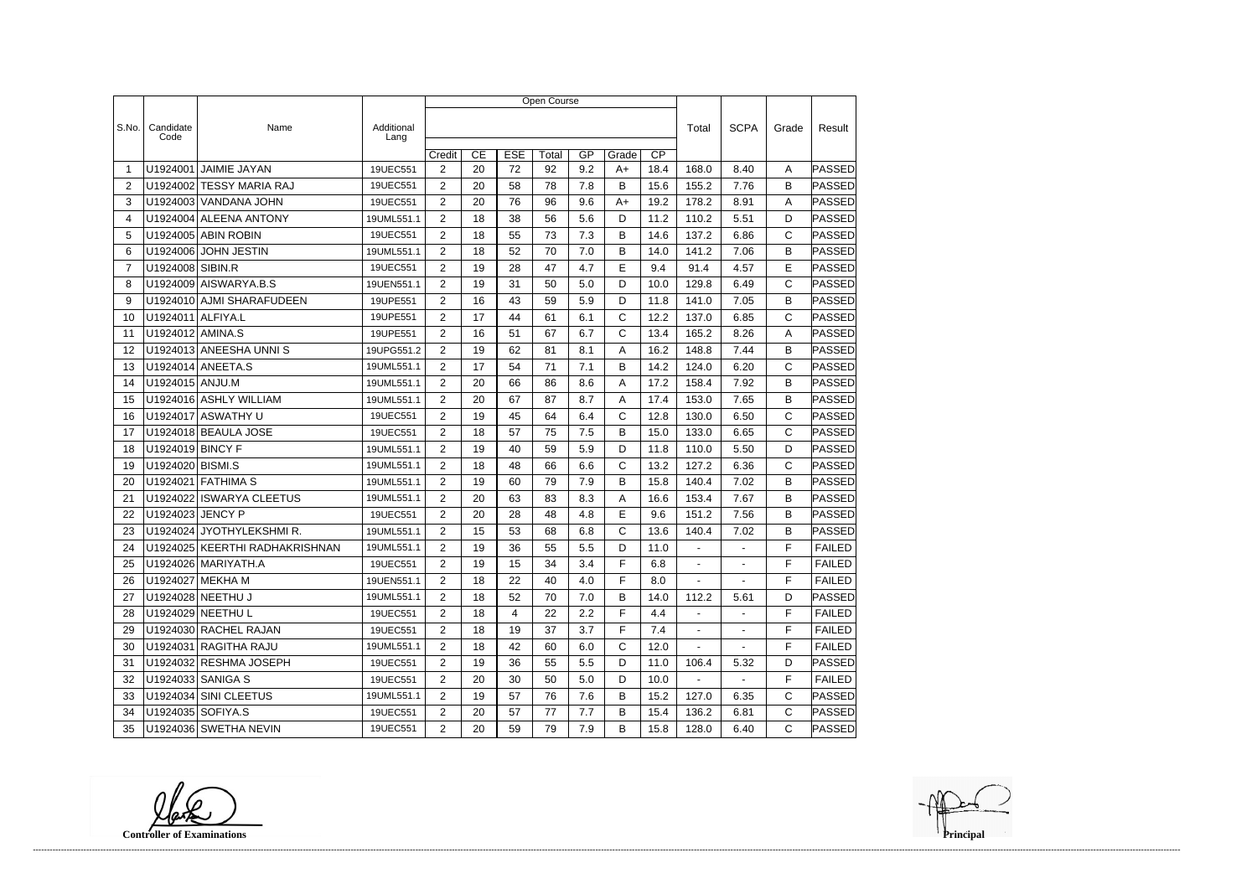|                |                   |                                |                    | Open Course           |    |            |       |     |                 |      |        |                |              |               |  |
|----------------|-------------------|--------------------------------|--------------------|-----------------------|----|------------|-------|-----|-----------------|------|--------|----------------|--------------|---------------|--|
|                |                   |                                |                    |                       |    |            |       |     |                 |      |        |                |              |               |  |
| S.No.          | Candidate<br>Code | Name                           | Additional<br>Lang |                       |    |            |       |     |                 |      | Total  | <b>SCPA</b>    | Grade        | Result        |  |
|                |                   |                                |                    | Credit                | CE | <b>ESE</b> | Total | GP  | $\overline{CP}$ |      |        |                |              |               |  |
| -1             | U1924001          | <b>JAIMIE JAYAN</b>            | 19UEC551           | $\overline{2}$        | 20 | 72         | 92    | 9.2 | Grade<br>$A+$   | 18.4 | 168.0  | 8.40           | A            | PASSED        |  |
| $\overline{2}$ |                   | U1924002 TESSY MARIA RAJ       | 19UEC551           | $\overline{2}$        | 20 | 58         | 78    | 7.8 | B               | 15.6 | 155.2  | 7.76           | B            | PASSED        |  |
| 3              |                   | U1924003 VANDANA JOHN          | 19UEC551           | $\overline{2}$        | 20 | 76         | 96    | 9.6 | $A+$            | 19.2 | 178.2  | 8.91           | A            | PASSED        |  |
| 4              |                   | U1924004 ALEENA ANTONY         | 19UML551.1         | $\overline{2}$        | 18 | 38         | 56    | 5.6 | D               | 11.2 | 110.2  | 5.51           | D            | PASSED        |  |
| 5              |                   | U1924005 ABIN ROBIN            | 19UEC551           | 2                     | 18 | 55         | 73    | 7.3 | B               | 14.6 | 137.2  | 6.86           | $\mathsf{C}$ | PASSED        |  |
| 6              |                   | U1924006 JOHN JESTIN           | 19UML551.1         | $\overline{2}$        | 18 | 52         | 70    | 7.0 | B               | 14.0 | 141.2  | 7.06           | B            | PASSED        |  |
| $\overline{7}$ | U1924008 SIBIN.R  |                                | 19UEC551           | $\overline{2}$        | 19 | 28         | 47    | 4.7 | E               | 9.4  | 91.4   | 4.57           | E            | <b>PASSED</b> |  |
| 8              |                   | U1924009 AISWARYA.B.S          | 19UEN551.1         | 2                     | 19 | 31         | 50    | 5.0 | D               | 10.0 | 129.8  | 6.49           | C            | PASSED        |  |
| 9              |                   | U1924010 AJMI SHARAFUDEEN      | 19UPE551           | $\overline{2}$        | 16 | 43         | 59    | 5.9 | D               | 11.8 | 141.0  | 7.05           | B            | PASSED        |  |
| 10             | U1924011 ALFIYA.L |                                | 19UPE551           | 2                     | 17 | 44         | 61    | 6.1 | $\mathsf{C}$    | 12.2 | 137.0  | 6.85           | $\mathsf{C}$ | PASSED        |  |
| 11             | U1924012 AMINA.S  |                                | 19UPE551           | $\overline{2}$        | 16 | 51         | 67    | 6.7 | C               | 13.4 | 165.2  | 8.26           | A            | PASSED        |  |
| 12             |                   | U1924013 ANEESHA UNNIS         | 19UPG551.2         | $\overline{2}$        | 19 | 62         | 81    | 8.1 | A               | 16.2 | 148.8  | 7.44           | B            | PASSED        |  |
| 13             |                   | U1924014 ANEETA.S              | 19UML551.1         | 2                     | 17 | 54         | 71    | 7.1 | В               | 14.2 | 124.0  | 6.20           | $\mathsf{C}$ | PASSED        |  |
| 14             | U1924015 ANJU.M   |                                | 19UML551.1         | $\overline{2}$        | 20 | 66         | 86    | 8.6 | A               | 17.2 | 158.4  | 7.92           | B            | PASSED        |  |
| 15             |                   | U1924016 ASHLY WILLIAM         | 19UML551.1         | $\overline{2}$        | 20 | 67         | 87    | 8.7 | Α               | 17.4 | 153.0  | 7.65           | B            | PASSED        |  |
| 16             |                   | U1924017 ASWATHY U             | 19UEC551           | $\overline{2}$        | 19 | 45         | 64    | 6.4 | C               | 12.8 | 130.0  | 6.50           | C            | PASSED        |  |
| 17             |                   | U1924018 BEAULA JOSE           | 19UEC551           | $\overline{2}$        | 18 | 57         | 75    | 7.5 | B               | 15.0 | 133.0  | 6.65           | $\mathsf{C}$ | PASSED        |  |
| 18             | U1924019 BINCY F  |                                | 19UML551.1         | $\overline{2}$        | 19 | 40         | 59    | 5.9 | D               | 11.8 | 110.0  | 5.50           | D            | <b>PASSED</b> |  |
| 19             | U1924020 BISMI.S  |                                | 19UML551.1         | $\overline{2}$        | 18 | 48         | 66    | 6.6 | C               | 13.2 | 127.2  | 6.36           | $\mathsf{C}$ | PASSED        |  |
| 20             | U1924021          | <b>FATHIMA S</b>               | 19UML551.1         | $\overline{2}$        | 19 | 60         | 79    | 7.9 | В               | 15.8 | 140.4  | 7.02           | B            | PASSED        |  |
| 21             | U1924022          | <b>ISWARYA CLEETUS</b>         | 19UML551.1         | $\overline{2}$        | 20 | 63         | 83    | 8.3 | A               | 16.6 | 153.4  | 7.67           | B            | PASSED        |  |
| 22             | U1924023 JENCY P  |                                | 19UEC551           | $\overline{2}$        | 20 | 28         | 48    | 4.8 | E               | 9.6  | 151.2  | 7.56           | B            | PASSED        |  |
| 23             |                   | U1924024 JYOTHYLEKSHMIR.       | 19UML551.1         | 2                     | 15 | 53         | 68    | 6.8 | C               | 13.6 | 140.4  | 7.02           | B            | <b>PASSED</b> |  |
| 24             |                   | U1924025 KEERTHI RADHAKRISHNAN | 19UML551.1         | $\overline{2}$        | 19 | 36         | 55    | 5.5 | D               | 11.0 |        |                | F            | <b>FAILED</b> |  |
| 25             |                   | U1924026 MARIYATH.A            | 19UEC551           | 2                     | 19 | 15         | 34    | 3.4 | F               | 6.8  |        |                | $\mathsf F$  | FAILED        |  |
| 26             |                   | U1924027 MEKHA M               | 19UEN551.1         | $\overline{2}$        | 18 | 22         | 40    | 4.0 | F               | 8.0  | $\sim$ | $\blacksquare$ | F            | <b>FAILED</b> |  |
| 27             |                   | U1924028   NEETHU J            | 19UML551.1         | $\overline{2}$        | 18 | 52         | 70    | 7.0 | B               | 14.0 | 112.2  | 5.61           | D            | PASSED        |  |
| 28             |                   | U1924029   NEETHU L            | 19UEC551           | $\overline{2}$        | 18 | 4          | 22    | 2.2 | F               | 4.4  | $\sim$ | $\blacksquare$ | F            | <b>FAILED</b> |  |
| 29             |                   | U1924030 RACHEL RAJAN          | 19UEC551           | $\overline{2}$        | 18 | 19         | 37    | 3.7 | F               | 7.4  |        | $\blacksquare$ | F            | <b>FAILED</b> |  |
| 30             |                   | U1924031 RAGITHA RAJU          | 19UML551.1         | $\overline{2}$        | 18 | 42         | 60    | 6.0 | $\mathsf{C}$    | 12.0 | $\sim$ | $\sim$         | F            | <b>FAILED</b> |  |
| 31             |                   | U1924032 RESHMA JOSEPH         | 19UEC551           | $\mathbf{2}^{\prime}$ | 19 | 36         | 55    | 5.5 | D               | 11.0 | 106.4  | 5.32           | D            | PASSED        |  |
| 32             |                   | U1924033 SANIGA S              | 19UEC551           | $\overline{2}$        | 20 | 30         | 50    | 5.0 | D               | 10.0 | $\sim$ | $\sim$         | F            | <b>FAILED</b> |  |
| 33             |                   | U1924034 SINI CLEETUS          | 19UML551.1         | $\overline{2}$        | 19 | 57         | 76    | 7.6 | B               | 15.2 | 127.0  | 6.35           | С            | PASSED        |  |
| 34             | U1924035 SOFIYA.S |                                | 19UEC551           | $\overline{2}$        | 20 | 57         | 77    | 7.7 | В               | 15.4 | 136.2  | 6.81           | $\mathsf{C}$ | <b>PASSED</b> |  |
| 35             |                   | U1924036 SWETHA NEVIN          | 19UEC551           | $\overline{2}$        | 20 | 59         | 79    | 7.9 | B               | 15.8 | 128.0  | 6.40           | C            | <b>PASSED</b> |  |

**Controller of Examinations**